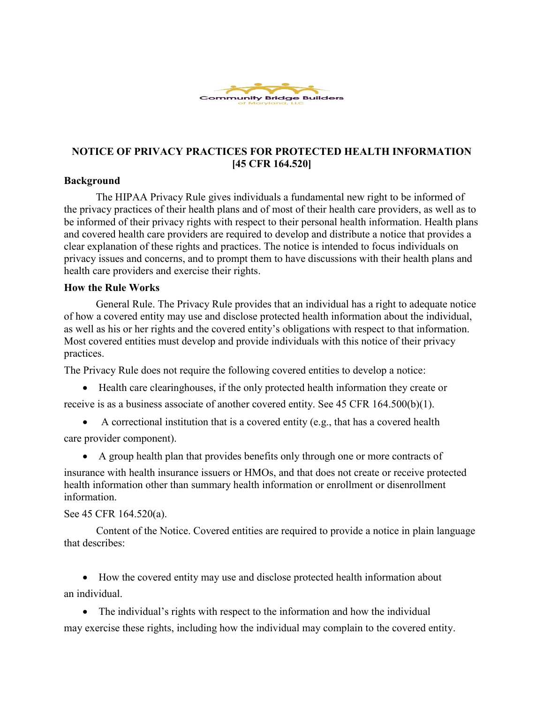

# **NOTICE OF PRIVACY PRACTICES FOR PROTECTED HEALTH INFORMATION [45 CFR 164.520]**

### **Background**

The HIPAA Privacy Rule gives individuals a fundamental new right to be informed of the privacy practices of their health plans and of most of their health care providers, as well as to be informed of their privacy rights with respect to their personal health information. Health plans and covered health care providers are required to develop and distribute a notice that provides a clear explanation of these rights and practices. The notice is intended to focus individuals on privacy issues and concerns, and to prompt them to have discussions with their health plans and health care providers and exercise their rights.

#### **How the Rule Works**

General Rule. The Privacy Rule provides that an individual has a right to adequate notice of how a covered entity may use and disclose protected health information about the individual, as well as his or her rights and the covered entity's obligations with respect to that information. Most covered entities must develop and provide individuals with this notice of their privacy practices.

The Privacy Rule does not require the following covered entities to develop a notice:

- Health care clearinghouses, if the only protected health information they create or receive is as a business associate of another covered entity. See 45 CFR 164.500(b)(1).
	-
- A correctional institution that is a covered entity (e.g., that has a covered health care provider component).
	- A group health plan that provides benefits only through one or more contracts of

insurance with health insurance issuers or HMOs, and that does not create or receive protected health information other than summary health information or enrollment or disenrollment information.

See 45 CFR 164.520(a).

Content of the Notice. Covered entities are required to provide a notice in plain language that describes:

• How the covered entity may use and disclose protected health information about an individual.

• The individual's rights with respect to the information and how the individual may exercise these rights, including how the individual may complain to the covered entity.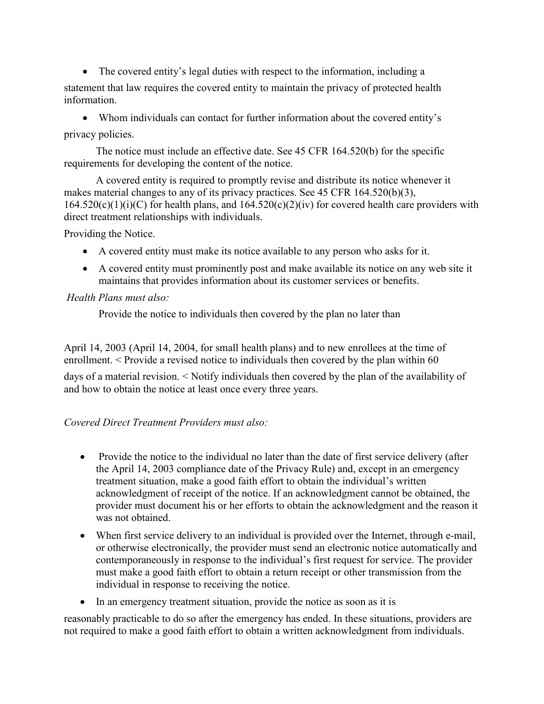• The covered entity's legal duties with respect to the information, including a statement that law requires the covered entity to maintain the privacy of protected health information.

• Whom individuals can contact for further information about the covered entity's privacy policies.

The notice must include an effective date. See 45 CFR 164.520(b) for the specific requirements for developing the content of the notice.

A covered entity is required to promptly revise and distribute its notice whenever it makes material changes to any of its privacy practices. See 45 CFR 164.520(b)(3),  $164.520(c)(1)(i)(C)$  for health plans, and  $164.520(c)(2)(iv)$  for covered health care providers with direct treatment relationships with individuals.

Providing the Notice.

- A covered entity must make its notice available to any person who asks for it.
- A covered entity must prominently post and make available its notice on any web site it maintains that provides information about its customer services or benefits.

### *Health Plans must also:*

Provide the notice to individuals then covered by the plan no later than

April 14, 2003 (April 14, 2004, for small health plans) and to new enrollees at the time of enrollment. < Provide a revised notice to individuals then covered by the plan within 60

days of a material revision. < Notify individuals then covered by the plan of the availability of and how to obtain the notice at least once every three years.

# *Covered Direct Treatment Providers must also:*

- Provide the notice to the individual no later than the date of first service delivery (after the April 14, 2003 compliance date of the Privacy Rule) and, except in an emergency treatment situation, make a good faith effort to obtain the individual's written acknowledgment of receipt of the notice. If an acknowledgment cannot be obtained, the provider must document his or her efforts to obtain the acknowledgment and the reason it was not obtained.
- When first service delivery to an individual is provided over the Internet, through e-mail, or otherwise electronically, the provider must send an electronic notice automatically and contemporaneously in response to the individual's first request for service. The provider must make a good faith effort to obtain a return receipt or other transmission from the individual in response to receiving the notice.
- In an emergency treatment situation, provide the notice as soon as it is

reasonably practicable to do so after the emergency has ended. In these situations, providers are not required to make a good faith effort to obtain a written acknowledgment from individuals.